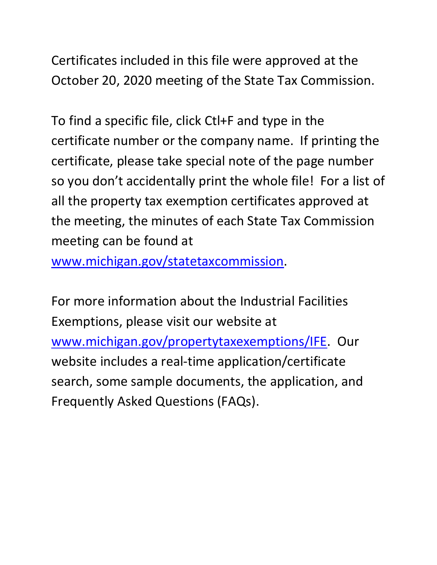Certificates included in this file were approved at the October 20, 2020 meeting of the State Tax Commission.

 certificate number or the company name. If printing the so you don't accidentally print the whole file! For a list of To find a specific file, click Ctl+F and type in the certificate, please take special note of the page number all the property tax exemption certificates approved at the meeting, the minutes of each State Tax Commission meeting can be found at

[www.michigan.gov/statetaxcommission.](http://www.michigan.gov/statetaxcommission)

For more information about the Industrial Facilities Exemptions, please visit our website at [www.michigan.gov/propertytaxexemptions/IFE.](http://www.michigan.gov/taxes/0,1607,7-238-43535_53197-213175--,00.html) Our website includes a real-time application/certificate search, some sample documents, the application, and Frequently Asked Questions (FAQs).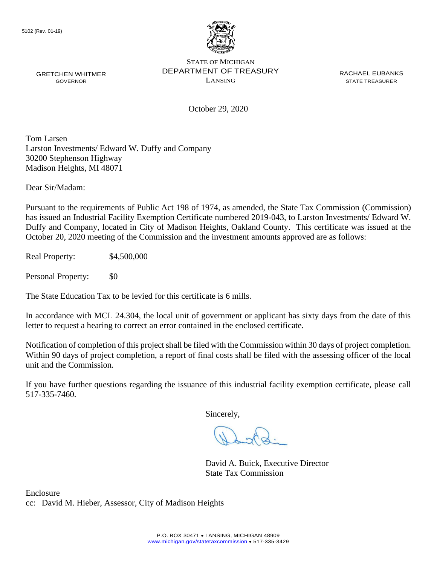

October 29, 2020

Tom Larsen Larston Investments/ Edward W. Duffy and Company 30200 Stephenson Highway Madison Heights, MI 48071

Dear Sir/Madam:

 has issued an Industrial Facility Exemption Certificate numbered 2019-043, to Larston Investments/ Edward W. Pursuant to the requirements of Public Act 198 of 1974, as amended, the State Tax Commission (Commission) Duffy and Company, located in City of Madison Heights, Oakland County. This certificate was issued at the October 20, 2020 meeting of the Commission and the investment amounts approved are as follows:

Real Property: \$4,500,000

Personal Property: \$0

The State Education Tax to be levied for this certificate is 6 mills.

In accordance with MCL 24.304, the local unit of government or applicant has sixty days from the date of this letter to request a hearing to correct an error contained in the enclosed certificate.

 Notification of completion of this project shall be filed with the Commission within 30 days of project completion. Within 90 days of project completion, a report of final costs shall be filed with the assessing officer of the local unit and the Commission.

 If you have further questions regarding the issuance of this industrial facility exemption certificate, please call 517-335-7460.

Sincerely,

David A. Buick, Executive Director State Tax Commission

Enclosure cc: David M. Hieber, Assessor, City of Madison Heights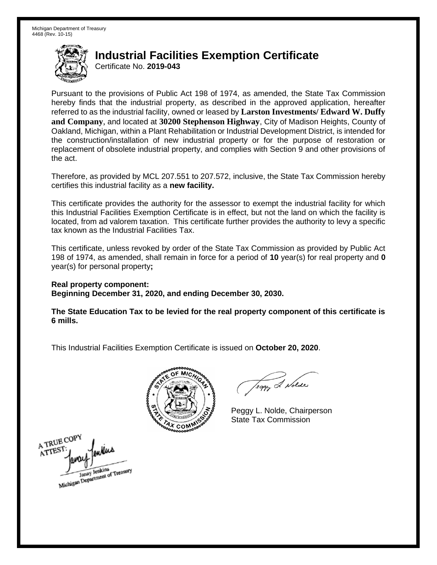Certificate No. **2019-043** 

 Pursuant to the provisions of Public Act 198 of 1974, as amended, the State Tax Commission hereby finds that the industrial property, as described in the approved application, hereafter referred to as the industrial facility, owned or leased by **Larston Investments/ Edward W. Duffy and Company**, and located at **30200 Stephenson Highway**, City of Madison Heights, County of Oakland, Michigan, within a Plant Rehabilitation or Industrial Development District, is intended for the construction/installation of new industrial property or for the purpose of restoration or replacement of obsolete industrial property, and complies with Section 9 and other provisions of the act.

 Therefore, as provided by MCL 207.551 to 207.572, inclusive, the State Tax Commission hereby certifies this industrial facility as a **new facility.** 

 This certificate provides the authority for the assessor to exempt the industrial facility for which this Industrial Facilities Exemption Certificate is in effect, but not the land on which the facility is located, from ad valorem taxation. This certificate further provides the authority to levy a specific tax known as the Industrial Facilities Tax.

 This certificate, unless revoked by order of the State Tax Commission as provided by Public Act 198 of 1974, as amended, shall remain in force for a period of **10** year(s) for real property and **0**  year(s) for personal property**;** 

 **Real property component: Beginning December 31, 2020, and ending December 30, 2030.** 

 **The State Education Tax to be levied for the real property component of this certificate is 6 mills.** 



Teggy & Nolder

 Peggy L. Nolde, Chairperson State Tax Commission

A TRUE COPY A TTEST Janay Jenkins<br>Michigan Department of Treasury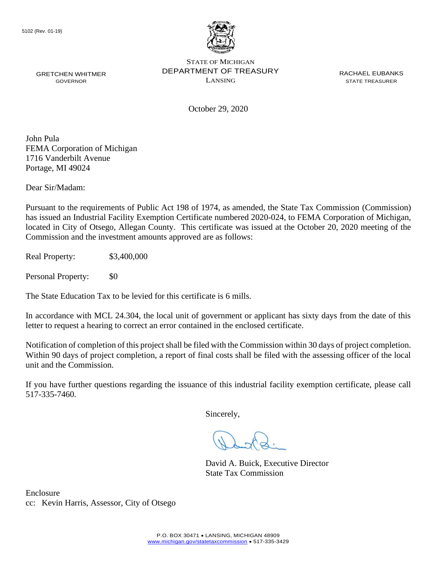

October 29, 2020

John Pula FEMA Corporation of Michigan 1716 Vanderbilt Avenue Portage, MI 49024

Dear Sir/Madam:

 located in City of Otsego, Allegan County. This certificate was issued at the October 20, 2020 meeting of the Pursuant to the requirements of Public Act 198 of 1974, as amended, the State Tax Commission (Commission) has issued an Industrial Facility Exemption Certificate numbered 2020-024, to FEMA Corporation of Michigan, Commission and the investment amounts approved are as follows:

Real Property: \$3,400,000

Personal Property: \$0

The State Education Tax to be levied for this certificate is 6 mills.

In accordance with MCL 24.304, the local unit of government or applicant has sixty days from the date of this letter to request a hearing to correct an error contained in the enclosed certificate.

 Within 90 days of project completion, a report of final costs shall be filed with the assessing officer of the local Notification of completion of this project shall be filed with the Commission within 30 days of project completion. unit and the Commission.

 If you have further questions regarding the issuance of this industrial facility exemption certificate, please call 517-335-7460.

Sincerely,

David A. Buick, Executive Director State Tax Commission

Enclosure cc: Kevin Harris, Assessor, City of Otsego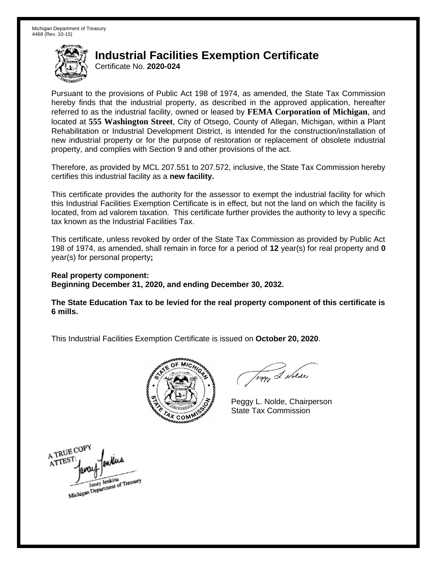Certificate No. **2020-024** 

 Pursuant to the provisions of Public Act 198 of 1974, as amended, the State Tax Commission hereby finds that the industrial property, as described in the approved application, hereafter referred to as the industrial facility, owned or leased by **FEMA Corporation of Michigan**, and Rehabilitation or Industrial Development District, is intended for the construction/installation of new industrial property or for the purpose of restoration or replacement of obsolete industrial property, and complies with Section 9 and other provisions of the act. located at **555 Washington Street**, City of Otsego, County of Allegan, Michigan, within a Plant

 Therefore, as provided by MCL 207.551 to 207.572, inclusive, the State Tax Commission hereby certifies this industrial facility as a **new facility.** 

 This certificate provides the authority for the assessor to exempt the industrial facility for which this Industrial Facilities Exemption Certificate is in effect, but not the land on which the facility is located, from ad valorem taxation. This certificate further provides the authority to levy a specific tax known as the Industrial Facilities Tax.

 This certificate, unless revoked by order of the State Tax Commission as provided by Public Act 198 of 1974, as amended, shall remain in force for a period of **12** year(s) for real property and **0**  year(s) for personal property**;** 

 **Real property component: Beginning December 31, 2020, and ending December 30, 2032.** 

 **The State Education Tax to be levied for the real property component of this certificate is 6 mills.** 



Teggy & Nolde

 Peggy L. Nolde, Chairperson State Tax Commission

A TRUE COPY ATTEST Michigan Department of Treasury Janay Jenkins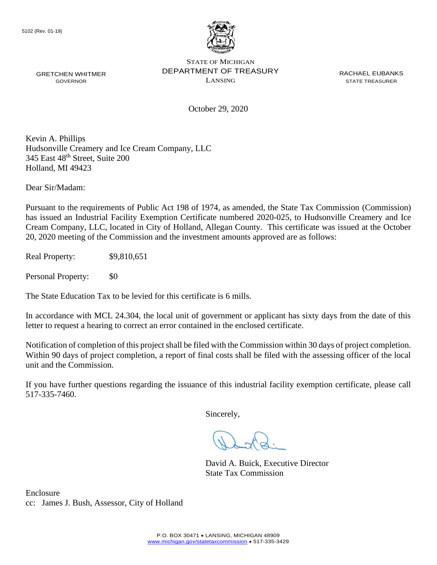

October 29, 2020

Kevin A. Phillips Hudsonville Creamery and Ice Cream Company, LLC 345 East 48<sup>th</sup> Street, Suite 200 Holland, MI 49423

Dear Sir/Madam:

 Cream Company, LLC, located in City of Holland, Allegan County. This certificate was issued at the October Pursuant to the requirements of Public Act 198 of 1974, as amended, the State Tax Commission (Commission) has issued an Industrial Facility Exemption Certificate numbered 2020-025, to Hudsonville Creamery and Ice 20, 2020 meeting of the Commission and the investment amounts approved are as follows:

Real Property: \$9,810,651

Personal Property: \$0

The State Education Tax to be levied for this certificate is 6 mills.

In accordance with MCL 24.304, the local unit of government or applicant has sixty days from the date of this letter to request a hearing to correct an error contained in the enclosed certificate.

 Notification of completion of this project shall be filed with the Commission within 30 days of project completion. Within 90 days of project completion, a report of final costs shall be filed with the assessing officer of the local unit and the Commission.

 If you have further questions regarding the issuance of this industrial facility exemption certificate, please call 517-335-7460.

Sincerely,

David A. Buick, Executive Director State Tax Commission

Enclosure cc: James J. Bush, Assessor, City of Holland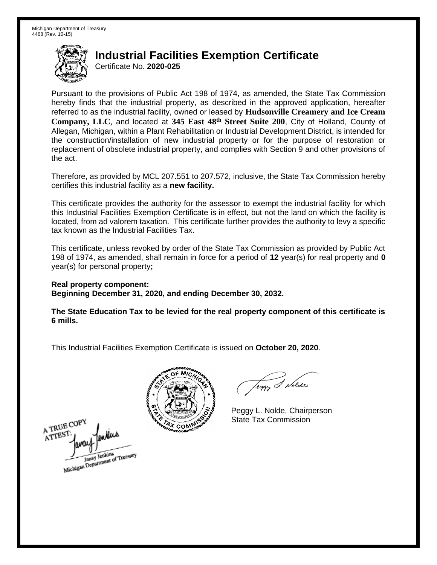Certificate No. **2020-025** 

 Pursuant to the provisions of Public Act 198 of 1974, as amended, the State Tax Commission hereby finds that the industrial property, as described in the approved application, hereafter referred to as the industrial facility, owned or leased by **Hudsonville Creamery and Ice Cream**  Company, LLC, and located at 345 East 48<sup>th</sup> Street Suite 200, City of Holland, County of Allegan, Michigan, within a Plant Rehabilitation or Industrial Development District, is intended for the construction/installation of new industrial property or for the purpose of restoration or replacement of obsolete industrial property, and complies with Section 9 and other provisions of the act.

 Therefore, as provided by MCL 207.551 to 207.572, inclusive, the State Tax Commission hereby certifies this industrial facility as a **new facility.** 

 This certificate provides the authority for the assessor to exempt the industrial facility for which this Industrial Facilities Exemption Certificate is in effect, but not the land on which the facility is located, from ad valorem taxation. This certificate further provides the authority to levy a specific tax known as the Industrial Facilities Tax.

 This certificate, unless revoked by order of the State Tax Commission as provided by Public Act 198 of 1974, as amended, shall remain in force for a period of **12** year(s) for real property and **0**  year(s) for personal property**;** 

 **Real property component: Beginning December 31, 2020, and ending December 30, 2032.** 

 **The State Education Tax to be levied for the real property component of this certificate is 6 mills.** 



Teggy & Nolder

 Peggy L. Nolde, Chairperson State Tax Commission

A TRUE COPY ATTEST Janay Jenkins<br>Michigan Department of Treasury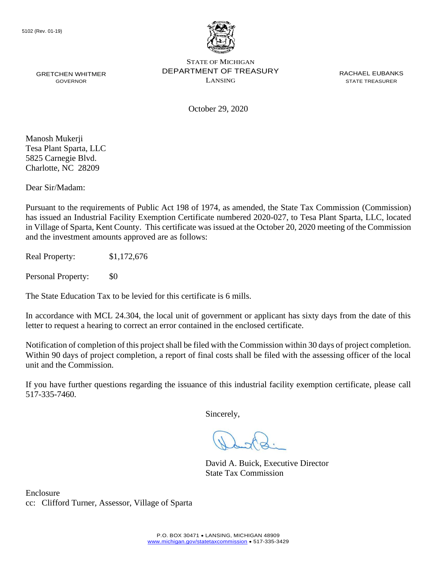

October 29, 2020

 Charlotte, NC 28209 Manosh Mukerji Tesa Plant Sparta, LLC 5825 Carnegie Blvd.

Dear Sir/Madam:

Pursuant to the requirements of Public Act 198 of 1974, as amended, the State Tax Commission (Commission) has issued an Industrial Facility Exemption Certificate numbered 2020-027, to Tesa Plant Sparta, LLC, located in Village of Sparta, Kent County. This certificate was issued at the October 20, 2020 meeting of the Commission and the investment amounts approved are as follows:

Real Property: \$1,172,676

Personal Property: \$0

The State Education Tax to be levied for this certificate is 6 mills.

In accordance with MCL 24.304, the local unit of government or applicant has sixty days from the date of this letter to request a hearing to correct an error contained in the enclosed certificate.

 Notification of completion of this project shall be filed with the Commission within 30 days of project completion. Within 90 days of project completion, a report of final costs shall be filed with the assessing officer of the local unit and the Commission.

 If you have further questions regarding the issuance of this industrial facility exemption certificate, please call 517-335-7460.

Sincerely,

David A. Buick, Executive Director State Tax Commission

Enclosure cc: Clifford Turner, Assessor, Village of Sparta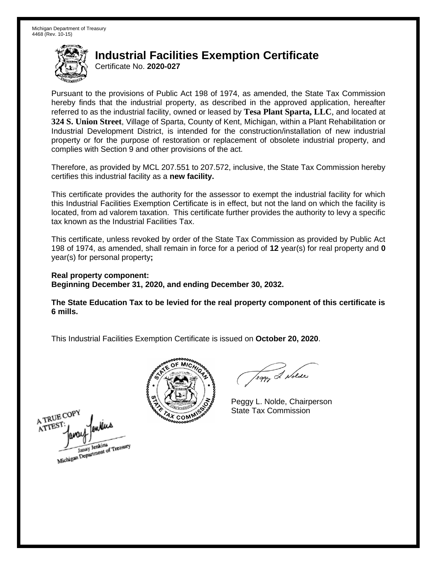Certificate No. **2020-027** 

 Pursuant to the provisions of Public Act 198 of 1974, as amended, the State Tax Commission hereby finds that the industrial property, as described in the approved application, hereafter referred to as the industrial facility, owned or leased by **Tesa Plant Sparta, LLC**, and located at **324 S. Union Street**, Village of Sparta, County of Kent, Michigan, within a Plant Rehabilitation or Industrial Development District, is intended for the construction/installation of new industrial property or for the purpose of restoration or replacement of obsolete industrial property, and complies with Section 9 and other provisions of the act.

 Therefore, as provided by MCL 207.551 to 207.572, inclusive, the State Tax Commission hereby certifies this industrial facility as a **new facility.** 

 This certificate provides the authority for the assessor to exempt the industrial facility for which this Industrial Facilities Exemption Certificate is in effect, but not the land on which the facility is located, from ad valorem taxation. This certificate further provides the authority to levy a specific tax known as the Industrial Facilities Tax.

 This certificate, unless revoked by order of the State Tax Commission as provided by Public Act 198 of 1974, as amended, shall remain in force for a period of **12** year(s) for real property and **0**  year(s) for personal property**;** 

 **Real property component: Beginning December 31, 2020, and ending December 30, 2032.** 

 **The State Education Tax to be levied for the real property component of this certificate is 6 mills.** 



Teggy & Nolde

 Peggy L. Nolde, Chairperson State Tax Commission

A TRUE COPY **ATTES!** Michigan Department of Treasury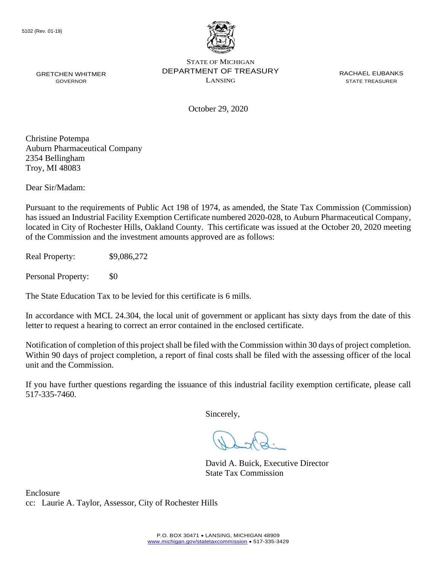

October 29, 2020

Christine Potempa Auburn Pharmaceutical Company 2354 Bellingham Troy, MI 48083

Dear Sir/Madam:

Pursuant to the requirements of Public Act 198 of 1974, as amended, the State Tax Commission (Commission) has issued an Industrial Facility Exemption Certificate numbered 2020-028, to Auburn Pharmaceutical Company, located in City of Rochester Hills, Oakland County. This certificate was issued at the October 20, 2020 meeting of the Commission and the investment amounts approved are as follows:

Real Property: \$9,086,272

Personal Property: \$0

The State Education Tax to be levied for this certificate is 6 mills.

In accordance with MCL 24.304, the local unit of government or applicant has sixty days from the date of this letter to request a hearing to correct an error contained in the enclosed certificate.

 Notification of completion of this project shall be filed with the Commission within 30 days of project completion. Within 90 days of project completion, a report of final costs shall be filed with the assessing officer of the local unit and the Commission.

 If you have further questions regarding the issuance of this industrial facility exemption certificate, please call 517-335-7460.

Sincerely,

David A. Buick, Executive Director State Tax Commission

Enclosure cc: Laurie A. Taylor, Assessor, City of Rochester Hills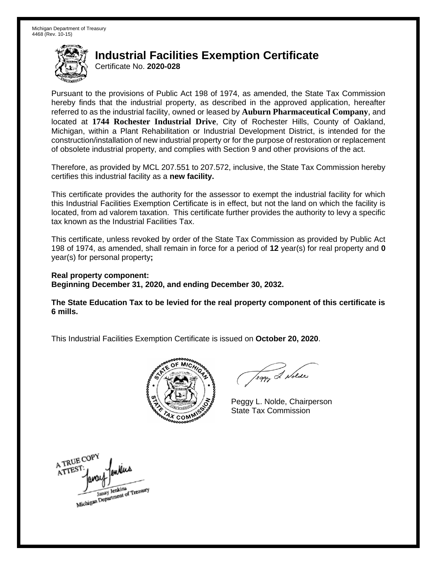Certificate No. **2020-028** 

 Pursuant to the provisions of Public Act 198 of 1974, as amended, the State Tax Commission hereby finds that the industrial property, as described in the approved application, hereafter referred to as the industrial facility, owned or leased by **Auburn Pharmaceutical Company**, and  located at **1744 Rochester Industrial Drive**, City of Rochester Hills, County of Oakland, Michigan, within a Plant Rehabilitation or Industrial Development District, is intended for the construction/installation of new industrial property or for the purpose of restoration or replacement of obsolete industrial property, and complies with Section 9 and other provisions of the act.

 Therefore, as provided by MCL 207.551 to 207.572, inclusive, the State Tax Commission hereby certifies this industrial facility as a **new facility.** 

 This certificate provides the authority for the assessor to exempt the industrial facility for which this Industrial Facilities Exemption Certificate is in effect, but not the land on which the facility is located, from ad valorem taxation. This certificate further provides the authority to levy a specific tax known as the Industrial Facilities Tax.

 This certificate, unless revoked by order of the State Tax Commission as provided by Public Act 198 of 1974, as amended, shall remain in force for a period of **12** year(s) for real property and **0**  year(s) for personal property**;** 

 **Real property component: Beginning December 31, 2020, and ending December 30, 2032.** 

 **The State Education Tax to be levied for the real property component of this certificate is 6 mills.** 



Teggy & Nolde

 Peggy L. Nolde, Chairperson State Tax Commission

A TRUE COPY ATTEST Janay Jenkins<br>Michigan Department of Treasury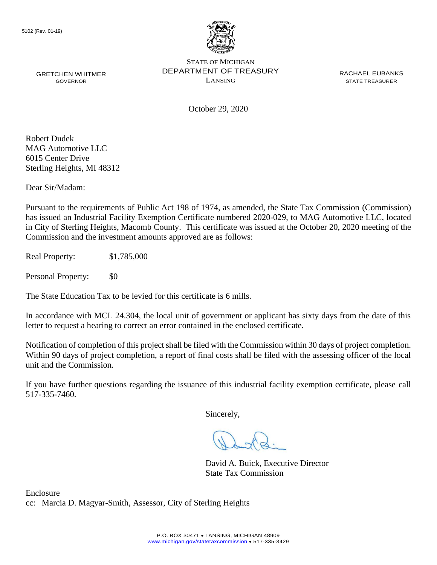

GRETCHEN WHITMER **EXAMPLE PERARTMENT OF TREASURY** EXACT ACHAEL EUBANKS STATE OF MICHIGAN GRETCHEN WHITMER **STATE OF A STATE THE STATE OF A STATE THE ASSESSMENT COVERNOR COVERNOR COVERNOR**<br>GOVERNOR STATE TREASURER

October 29, 2020

Robert Dudek MAG Automotive LLC 6015 Center Drive Sterling Heights, MI 48312

Dear Sir/Madam:

Pursuant to the requirements of Public Act 198 of 1974, as amended, the State Tax Commission (Commission) has issued an Industrial Facility Exemption Certificate numbered 2020-029, to MAG Automotive LLC, located in City of Sterling Heights, Macomb County. This certificate was issued at the October 20, 2020 meeting of the Commission and the investment amounts approved are as follows:

Real Property: \$1,785,000

Personal Property: \$0

The State Education Tax to be levied for this certificate is 6 mills.

In accordance with MCL 24.304, the local unit of government or applicant has sixty days from the date of this letter to request a hearing to correct an error contained in the enclosed certificate.

 Notification of completion of this project shall be filed with the Commission within 30 days of project completion. Within 90 days of project completion, a report of final costs shall be filed with the assessing officer of the local unit and the Commission.

 If you have further questions regarding the issuance of this industrial facility exemption certificate, please call 517-335-7460.

Sincerely,

David A. Buick, Executive Director State Tax Commission

Enclosure cc: Marcia D. Magyar-Smith, Assessor, City of Sterling Heights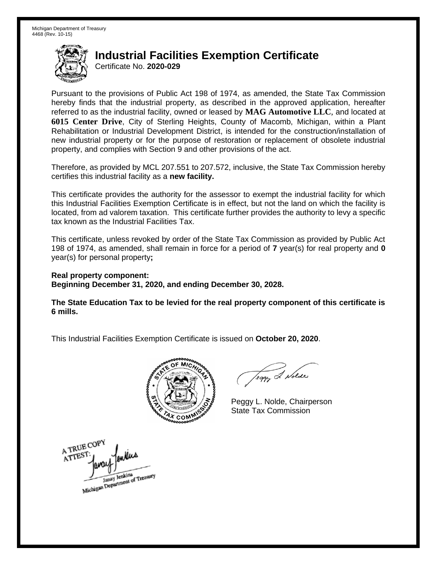Certificate No. **2020-029** 

 Pursuant to the provisions of Public Act 198 of 1974, as amended, the State Tax Commission hereby finds that the industrial property, as described in the approved application, hereafter referred to as the industrial facility, owned or leased by **MAG Automotive LLC**, and located at Rehabilitation or Industrial Development District, is intended for the construction/installation of new industrial property or for the purpose of restoration or replacement of obsolete industrial property, and complies with Section 9 and other provisions of the act. **6015 Center Drive**, City of Sterling Heights, County of Macomb, Michigan, within a Plant

 Therefore, as provided by MCL 207.551 to 207.572, inclusive, the State Tax Commission hereby certifies this industrial facility as a **new facility.** 

 This certificate provides the authority for the assessor to exempt the industrial facility for which this Industrial Facilities Exemption Certificate is in effect, but not the land on which the facility is located, from ad valorem taxation. This certificate further provides the authority to levy a specific tax known as the Industrial Facilities Tax.

 This certificate, unless revoked by order of the State Tax Commission as provided by Public Act 198 of 1974, as amended, shall remain in force for a period of **7** year(s) for real property and **0**  year(s) for personal property**;** 

 **Real property component: Beginning December 31, 2020, and ending December 30, 2028.** 

 **The State Education Tax to be levied for the real property component of this certificate is 6 mills.** 



Teggy & Nolde

 Peggy L. Nolde, Chairperson State Tax Commission

A TRUE COPY ATTEST Michigan Department of Treasury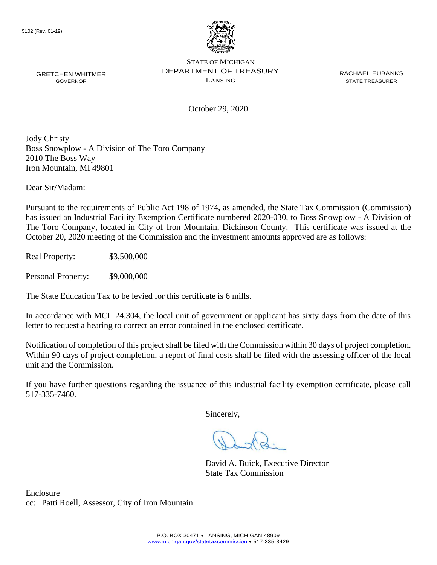

GRETCHEN WHITMER **EXAMPLE PERARTMENT OF TREASURY** EXACT ACHAEL EUBANKS STATE OF MICHIGAN GRETCHEN WHITMER **STATE OF A STATE TO A STATE THE STATE THE STATE TREASURER** GOVERNOR GOVERNOR

October 29, 2020

Jody Christy Boss Snowplow - A Division of The Toro Company 2010 The Boss Way Iron Mountain, MI 49801

Dear Sir/Madam:

Pursuant to the requirements of Public Act 198 of 1974, as amended, the State Tax Commission (Commission) has issued an Industrial Facility Exemption Certificate numbered 2020-030, to Boss Snowplow - A Division of The Toro Company, located in City of Iron Mountain, Dickinson County. This certificate was issued at the October 20, 2020 meeting of the Commission and the investment amounts approved are as follows:

Real Property: \$3,500,000

Personal Property:  $$9,000,000$ 

The State Education Tax to be levied for this certificate is 6 mills.

In accordance with MCL 24.304, the local unit of government or applicant has sixty days from the date of this letter to request a hearing to correct an error contained in the enclosed certificate.

 Notification of completion of this project shall be filed with the Commission within 30 days of project completion. Within 90 days of project completion, a report of final costs shall be filed with the assessing officer of the local unit and the Commission.

 If you have further questions regarding the issuance of this industrial facility exemption certificate, please call 517-335-7460.

Sincerely,

David A. Buick, Executive Director State Tax Commission

Enclosure cc: Patti Roell, Assessor, City of Iron Mountain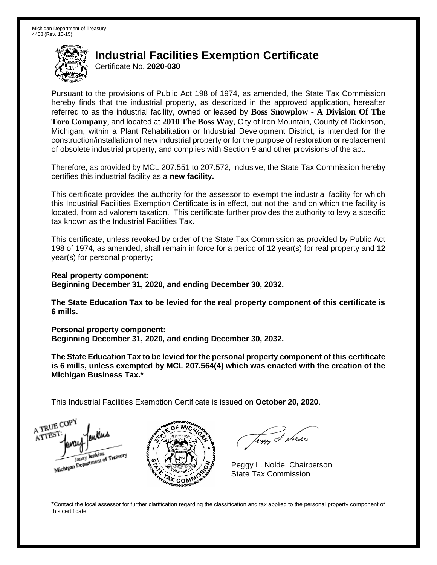Certificate No. **2020-030** 

 Pursuant to the provisions of Public Act 198 of 1974, as amended, the State Tax Commission hereby finds that the industrial property, as described in the approved application, hereafter referred to as the industrial facility, owned or leased by **Boss Snowplow - A Division Of The Toro Company**, and located at **2010 The Boss Way**, City of Iron Mountain, County of Dickinson, Michigan, within a Plant Rehabilitation or Industrial Development District, is intended for the construction/installation of new industrial property or for the purpose of restoration or replacement of obsolete industrial property, and complies with Section 9 and other provisions of the act.

 Therefore, as provided by MCL 207.551 to 207.572, inclusive, the State Tax Commission hereby certifies this industrial facility as a **new facility.** 

 This certificate provides the authority for the assessor to exempt the industrial facility for which this Industrial Facilities Exemption Certificate is in effect, but not the land on which the facility is located, from ad valorem taxation. This certificate further provides the authority to levy a specific tax known as the Industrial Facilities Tax.

 This certificate, unless revoked by order of the State Tax Commission as provided by Public Act 198 of 1974, as amended, shall remain in force for a period of **12** year(s) for real property and **12**  year(s) for personal property**;** 

 **Real property component: Beginning December 31, 2020, and ending December 30, 2032.** 

 **The State Education Tax to be levied for the real property component of this certificate is 6 mills.** 

 **Personal property component:** 

 **Beginning December 31, 2020, and ending December 30, 2032.** 

 **The State Education Tax to be levied for the personal property component of this certificate is 6 mills, unless exempted by MCL 207.564(4) which was enacted with the creation of the Michigan Business Tax.\*** 

 This Industrial Facilities Exemption Certificate is issued on **October 20, 2020**.

A TRUE COP ATTEST Janay Jenkins<br>Michigan Department of Treasury



Teggy & Nolde

 Peggy L. Nolde, Chairperson State Tax Commission

 \*Contact the local assessor for further clarification regarding the classification and tax applied to the personal property component of this certificate.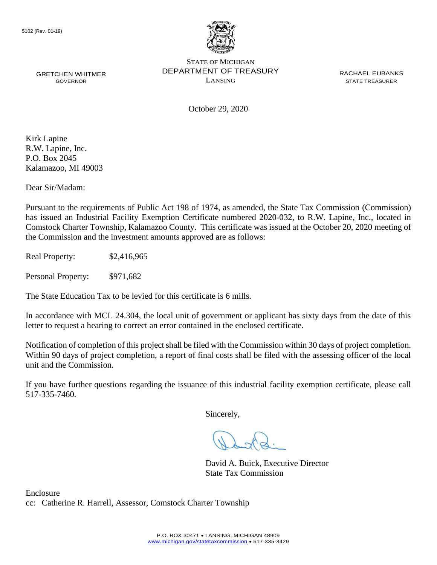

October 29, 2020

Kirk Lapine R.W. Lapine, Inc. P.O. Box 2045 Kalamazoo, MI 49003

Dear Sir/Madam:

Pursuant to the requirements of Public Act 198 of 1974, as amended, the State Tax Commission (Commission) has issued an Industrial Facility Exemption Certificate numbered 2020-032, to R.W. Lapine, Inc., located in Comstock Charter Township, Kalamazoo County. This certificate was issued at the October 20, 2020 meeting of the Commission and the investment amounts approved are as follows:

Real Property: \$2,416,965

Personal Property: \$971,682

The State Education Tax to be levied for this certificate is 6 mills.

In accordance with MCL 24.304, the local unit of government or applicant has sixty days from the date of this letter to request a hearing to correct an error contained in the enclosed certificate.

 Notification of completion of this project shall be filed with the Commission within 30 days of project completion. Within 90 days of project completion, a report of final costs shall be filed with the assessing officer of the local unit and the Commission.

 If you have further questions regarding the issuance of this industrial facility exemption certificate, please call 517-335-7460.

Sincerely,

David A. Buick, Executive Director State Tax Commission

Enclosure cc: Catherine R. Harrell, Assessor, Comstock Charter Township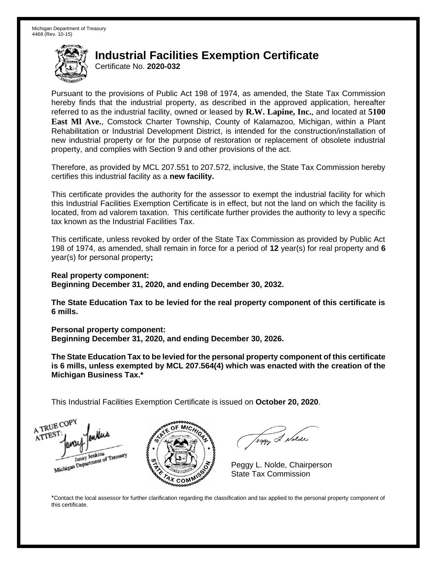Certificate No. **2020-032** 

 Pursuant to the provisions of Public Act 198 of 1974, as amended, the State Tax Commission hereby finds that the industrial property, as described in the approved application, hereafter referred to as the industrial facility, owned or leased by **R.W. Lapine, Inc.**, and located at **5100 East Ml Ave.**, Comstock Charter Township, County of Kalamazoo, Michigan, within a Plant Rehabilitation or Industrial Development District, is intended for the construction/installation of new industrial property or for the purpose of restoration or replacement of obsolete industrial property, and complies with Section 9 and other provisions of the act.

 Therefore, as provided by MCL 207.551 to 207.572, inclusive, the State Tax Commission hereby certifies this industrial facility as a **new facility.** 

 This certificate provides the authority for the assessor to exempt the industrial facility for which this Industrial Facilities Exemption Certificate is in effect, but not the land on which the facility is located, from ad valorem taxation. This certificate further provides the authority to levy a specific tax known as the Industrial Facilities Tax.

 This certificate, unless revoked by order of the State Tax Commission as provided by Public Act 198 of 1974, as amended, shall remain in force for a period of **12** year(s) for real property and **6**  year(s) for personal property**;** 

 **Real property component: Beginning December 31, 2020, and ending December 30, 2032.** 

 **The State Education Tax to be levied for the real property component of this certificate is 6 mills.** 

 **Personal property component:** 

 **Beginning December 31, 2020, and ending December 30, 2026.** 

 **The State Education Tax to be levied for the personal property component of this certificate is 6 mills, unless exempted by MCL 207.564(4) which was enacted with the creation of the Michigan Business Tax.\*** 

 This Industrial Facilities Exemption Certificate is issued on **October 20, 2020**.

A TRUE COP ATTEST Janay Jenkins<br>Michigan Department of Treasury



Teggy & Nolde

 Peggy L. Nolde, Chairperson State Tax Commission

 \*Contact the local assessor for further clarification regarding the classification and tax applied to the personal property component of this certificate.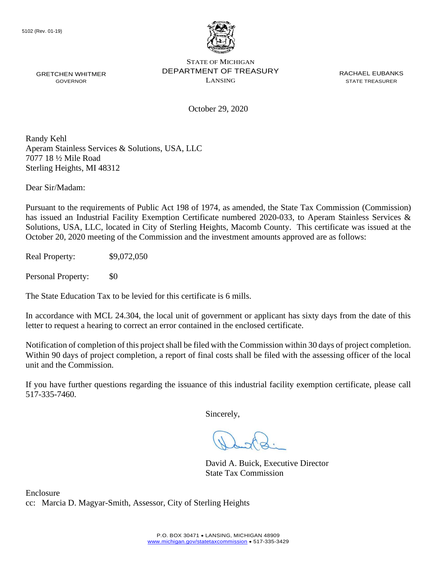

GRETCHEN WHITMER **EXAMPLE PERARTMENT OF TREASURY** EXACT ACHAEL EUBANKS STATE OF MICHIGAN GRETCHEN WHITMER **STATE OF A STATE TO A STATE THE STATE THE STATE TREASURER** GOVERNOR GOVERNOR

October 29, 2020

Randy Kehl Aperam Stainless Services & Solutions, USA, LLC 7077 18 ½ Mile Road Sterling Heights, MI 48312

Dear Sir/Madam:

Pursuant to the requirements of Public Act 198 of 1974, as amended, the State Tax Commission (Commission) has issued an Industrial Facility Exemption Certificate numbered 2020-033, to Aperam Stainless Services & Solutions, USA, LLC, located in City of Sterling Heights, Macomb County. This certificate was issued at the October 20, 2020 meeting of the Commission and the investment amounts approved are as follows:

Real Property: \$9,072,050

Personal Property: \$0

The State Education Tax to be levied for this certificate is 6 mills.

In accordance with MCL 24.304, the local unit of government or applicant has sixty days from the date of this letter to request a hearing to correct an error contained in the enclosed certificate.

 Notification of completion of this project shall be filed with the Commission within 30 days of project completion. Within 90 days of project completion, a report of final costs shall be filed with the assessing officer of the local unit and the Commission.

 If you have further questions regarding the issuance of this industrial facility exemption certificate, please call 517-335-7460.

Sincerely,

David A. Buick, Executive Director State Tax Commission

Enclosure cc: Marcia D. Magyar-Smith, Assessor, City of Sterling Heights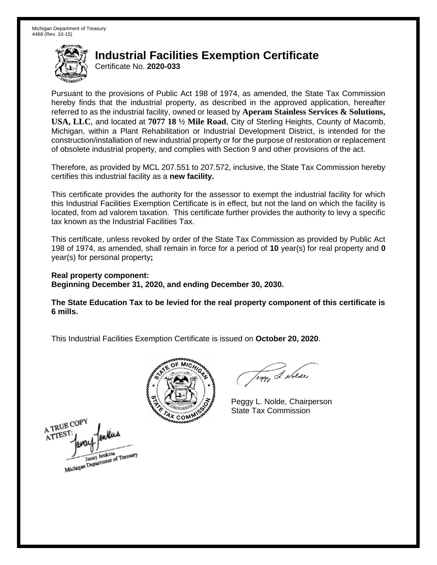Certificate No. **2020-033** 

 Pursuant to the provisions of Public Act 198 of 1974, as amended, the State Tax Commission hereby finds that the industrial property, as described in the approved application, hereafter referred to as the industrial facility, owned or leased by **Aperam Stainless Services & Solutions, USA, LLC**, and located at **7077 18 ½ Mile Road**, City of Sterling Heights, County of Macomb, Michigan, within a Plant Rehabilitation or Industrial Development District, is intended for the construction/installation of new industrial property or for the purpose of restoration or replacement of obsolete industrial property, and complies with Section 9 and other provisions of the act.

 Therefore, as provided by MCL 207.551 to 207.572, inclusive, the State Tax Commission hereby certifies this industrial facility as a **new facility.** 

 This certificate provides the authority for the assessor to exempt the industrial facility for which this Industrial Facilities Exemption Certificate is in effect, but not the land on which the facility is located, from ad valorem taxation. This certificate further provides the authority to levy a specific tax known as the Industrial Facilities Tax.

 This certificate, unless revoked by order of the State Tax Commission as provided by Public Act 198 of 1974, as amended, shall remain in force for a period of **10** year(s) for real property and **0**  year(s) for personal property**;** 

 **Real property component: Beginning December 31, 2020, and ending December 30, 2030.** 

 **The State Education Tax to be levied for the real property component of this certificate is 6 mills.** 



Teggy & Nolde

 Peggy L. Nolde, Chairperson State Tax Commission

A TRUE COPY ATTEST: Janay Jenkins<br>Michigan Department of Treasury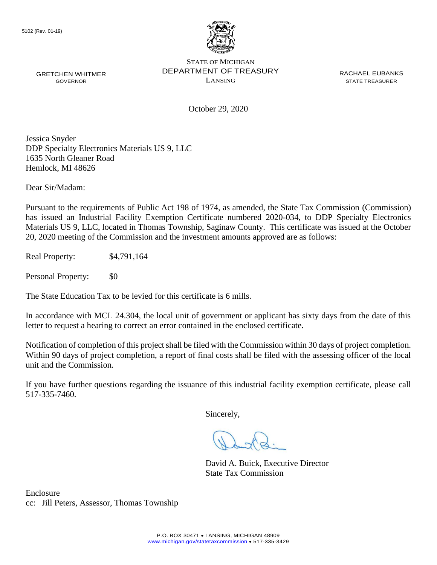

GRETCHEN WHITMER **EXAMPLE PERARTMENT OF TREASURY** EXACT ACHAEL EUBANKS STATE OF MICHIGAN GRETCHEN WHITMER **STATE OF A STATE TO A STATE THE STATE THE STATE TREASURER** GOVERNOR GOVERNOR

October 29, 2020

Jessica Snyder DDP Specialty Electronics Materials US 9, LLC 1635 North Gleaner Road Hemlock, MI 48626

Dear Sir/Madam:

Pursuant to the requirements of Public Act 198 of 1974, as amended, the State Tax Commission (Commission) has issued an Industrial Facility Exemption Certificate numbered 2020-034, to DDP Specialty Electronics Materials US 9, LLC, located in Thomas Township, Saginaw County. This certificate was issued at the October 20, 2020 meeting of the Commission and the investment amounts approved are as follows:

Real Property: \$4,791,164

Personal Property: \$0

The State Education Tax to be levied for this certificate is 6 mills.

In accordance with MCL 24.304, the local unit of government or applicant has sixty days from the date of this letter to request a hearing to correct an error contained in the enclosed certificate.

 Notification of completion of this project shall be filed with the Commission within 30 days of project completion. Within 90 days of project completion, a report of final costs shall be filed with the assessing officer of the local unit and the Commission.

 If you have further questions regarding the issuance of this industrial facility exemption certificate, please call 517-335-7460.

Sincerely,

David A. Buick, Executive Director State Tax Commission

Enclosure cc: Jill Peters, Assessor, Thomas Township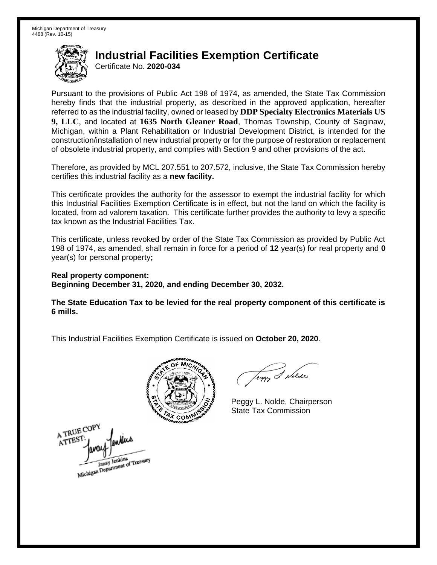Certificate No. **2020-034** 

 Pursuant to the provisions of Public Act 198 of 1974, as amended, the State Tax Commission hereby finds that the industrial property, as described in the approved application, hereafter referred to as the industrial facility, owned or leased by **DDP Specialty Electronics Materials US 9, LLC**, and located at **1635 North Gleaner Road**, Thomas Township, County of Saginaw, Michigan, within a Plant Rehabilitation or Industrial Development District, is intended for the construction/installation of new industrial property or for the purpose of restoration or replacement of obsolete industrial property, and complies with Section 9 and other provisions of the act.

 Therefore, as provided by MCL 207.551 to 207.572, inclusive, the State Tax Commission hereby certifies this industrial facility as a **new facility.** 

 This certificate provides the authority for the assessor to exempt the industrial facility for which this Industrial Facilities Exemption Certificate is in effect, but not the land on which the facility is located, from ad valorem taxation. This certificate further provides the authority to levy a specific tax known as the Industrial Facilities Tax.

 This certificate, unless revoked by order of the State Tax Commission as provided by Public Act 198 of 1974, as amended, shall remain in force for a period of **12** year(s) for real property and **0**  year(s) for personal property**;** 

 **Real property component: Beginning December 31, 2020, and ending December 30, 2032.** 

 **The State Education Tax to be levied for the real property component of this certificate is 6 mills.** 



A TRUE COPY ATTES! Michigan Department of Treasury

Teggy & Nolde

 Peggy L. Nolde, Chairperson State Tax Commission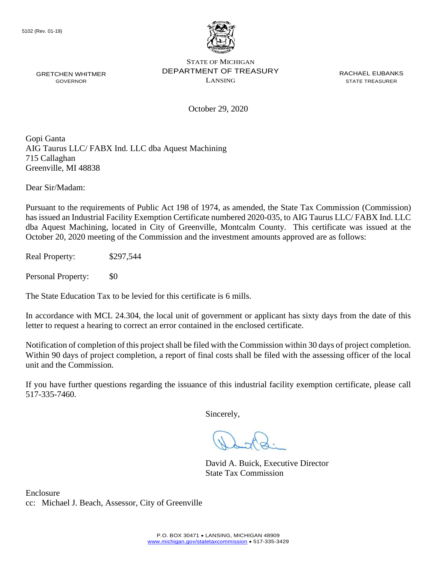

GRETCHEN WHITMER **EXAMPLE PERARTMENT OF TREASURY** EXACT ACHAEL EUBANKS STATE OF MICHIGAN GRETCHEN WHITMER **STATE OF A STATE TO A STATE THE STATE THE STATE TREASURER** GOVERNOR GOVERNOR

October 29, 2020

Gopi Ganta AIG Taurus LLC/ FABX Ind. LLC dba Aquest Machining 715 Callaghan Greenville, MI 48838

Dear Sir/Madam:

Pursuant to the requirements of Public Act 198 of 1974, as amended, the State Tax Commission (Commission) has issued an Industrial Facility Exemption Certificate numbered 2020-035, to AIG Taurus LLC/ FABX Ind. LLC dba Aquest Machining, located in City of Greenville, Montcalm County. This certificate was issued at the October 20, 2020 meeting of the Commission and the investment amounts approved are as follows:

Real Property: \$297,544

Personal Property: \$0

The State Education Tax to be levied for this certificate is 6 mills.

In accordance with MCL 24.304, the local unit of government or applicant has sixty days from the date of this letter to request a hearing to correct an error contained in the enclosed certificate.

 Notification of completion of this project shall be filed with the Commission within 30 days of project completion. Within 90 days of project completion, a report of final costs shall be filed with the assessing officer of the local unit and the Commission.

 If you have further questions regarding the issuance of this industrial facility exemption certificate, please call 517-335-7460.

Sincerely,

David A. Buick, Executive Director State Tax Commission

Enclosure cc: Michael J. Beach, Assessor, City of Greenville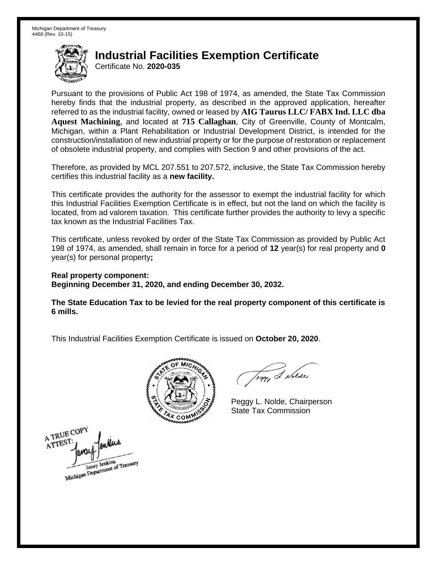Certificate No. **2020-035** 

 Pursuant to the provisions of Public Act 198 of 1974, as amended, the State Tax Commission hereby finds that the industrial property, as described in the approved application, hereafter referred to as the industrial facility, owned or leased by **AIG Taurus LLC/ FABX Ind. LLC dba**  Michigan, within a Plant Rehabilitation or Industrial Development District, is intended for the construction/installation of new industrial property or for the purpose of restoration or replacement of obsolete industrial property, and complies with Section 9 and other provisions of the act. **Aquest Machining**, and located at **715 Callaghan**, City of Greenville, County of Montcalm,

 Therefore, as provided by MCL 207.551 to 207.572, inclusive, the State Tax Commission hereby certifies this industrial facility as a **new facility.** 

 This certificate provides the authority for the assessor to exempt the industrial facility for which this Industrial Facilities Exemption Certificate is in effect, but not the land on which the facility is located, from ad valorem taxation. This certificate further provides the authority to levy a specific tax known as the Industrial Facilities Tax.

 This certificate, unless revoked by order of the State Tax Commission as provided by Public Act 198 of 1974, as amended, shall remain in force for a period of **12** year(s) for real property and **0**  year(s) for personal property**;** 

 **Real property component: Beginning December 31, 2020, and ending December 30, 2032.** 

 **The State Education Tax to be levied for the real property component of this certificate is 6 mills.** 



Teggy & Nolde

 Peggy L. Nolde, Chairperson State Tax Commission

A TRUE COPY ATTEST Michigan Department of Treasury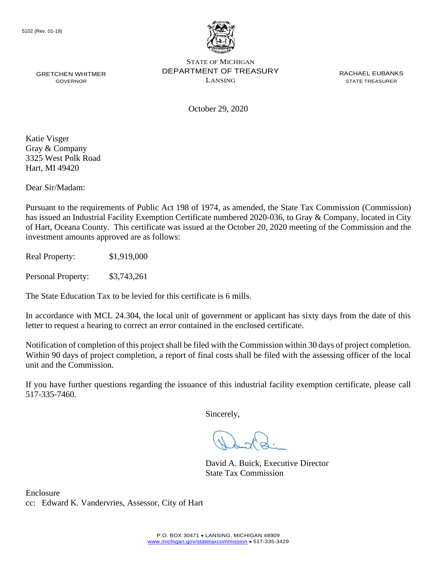

October 29, 2020

Katie Visger Gray & Company 3325 West Polk Road Hart, MI 49420

Dear Sir/Madam:

Pursuant to the requirements of Public Act 198 of 1974, as amended, the State Tax Commission (Commission) has issued an Industrial Facility Exemption Certificate numbered 2020-036, to Gray & Company, located in City of Hart, Oceana County. This certificate was issued at the October 20, 2020 meeting of the Commission and the investment amounts approved are as follows:

Real Property: \$1,919,000

Personal Property: \$3,743,261

The State Education Tax to be levied for this certificate is 6 mills.

In accordance with MCL 24.304, the local unit of government or applicant has sixty days from the date of this letter to request a hearing to correct an error contained in the enclosed certificate.

 Notification of completion of this project shall be filed with the Commission within 30 days of project completion. Within 90 days of project completion, a report of final costs shall be filed with the assessing officer of the local unit and the Commission.

 If you have further questions regarding the issuance of this industrial facility exemption certificate, please call 517-335-7460.

Sincerely,

David A. Buick, Executive Director State Tax Commission

Enclosure cc: Edward K. Vandervries, Assessor, City of Hart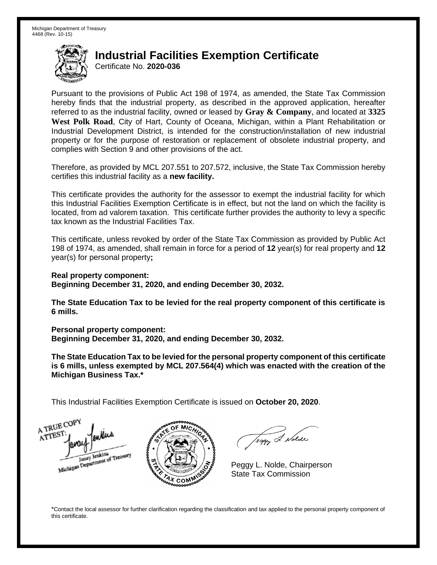Certificate No. **2020-036** 

 Pursuant to the provisions of Public Act 198 of 1974, as amended, the State Tax Commission hereby finds that the industrial property, as described in the approved application, hereafter referred to as the industrial facility, owned or leased by **Gray & Company**, and located at **3325 West Polk Road**, City of Hart, County of Oceana, Michigan, within a Plant Rehabilitation or Industrial Development District, is intended for the construction/installation of new industrial property or for the purpose of restoration or replacement of obsolete industrial property, and complies with Section 9 and other provisions of the act.

 Therefore, as provided by MCL 207.551 to 207.572, inclusive, the State Tax Commission hereby certifies this industrial facility as a **new facility.** 

 This certificate provides the authority for the assessor to exempt the industrial facility for which this Industrial Facilities Exemption Certificate is in effect, but not the land on which the facility is located, from ad valorem taxation. This certificate further provides the authority to levy a specific tax known as the Industrial Facilities Tax.

 This certificate, unless revoked by order of the State Tax Commission as provided by Public Act 198 of 1974, as amended, shall remain in force for a period of **12** year(s) for real property and **12**  year(s) for personal property**;** 

 **Real property component: Beginning December 31, 2020, and ending December 30, 2032.** 

 **The State Education Tax to be levied for the real property component of this certificate is 6 mills.** 

 **Personal property component:** 

 **Beginning December 31, 2020, and ending December 30, 2032.** 

 **The State Education Tax to be levied for the personal property component of this certificate is 6 mills, unless exempted by MCL 207.564(4) which was enacted with the creation of the Michigan Business Tax.\*** 

 This Industrial Facilities Exemption Certificate is issued on **October 20, 2020**.

A TRUE COP ATTEST Janay Jenkins<br>Michigan Department of Treasury



Teggy & Nolde

 Peggy L. Nolde, Chairperson State Tax Commission

 \*Contact the local assessor for further clarification regarding the classification and tax applied to the personal property component of this certificate.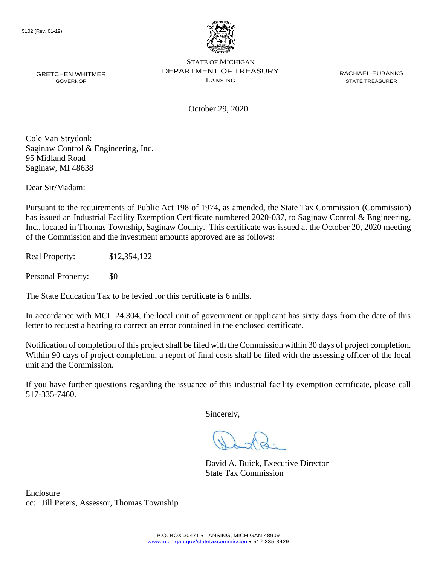

October 29, 2020

Cole Van Strydonk Saginaw Control & Engineering, Inc. 95 Midland Road Saginaw, MI 48638

Dear Sir/Madam:

 has issued an Industrial Facility Exemption Certificate numbered 2020-037, to Saginaw Control & Engineering, Inc., located in Thomas Township, Saginaw County. This certificate was issued at the October 20, 2020 meeting Pursuant to the requirements of Public Act 198 of 1974, as amended, the State Tax Commission (Commission) of the Commission and the investment amounts approved are as follows:

Real Property: \$12,354,122

Personal Property: \$0

The State Education Tax to be levied for this certificate is 6 mills.

In accordance with MCL 24.304, the local unit of government or applicant has sixty days from the date of this letter to request a hearing to correct an error contained in the enclosed certificate.

 Notification of completion of this project shall be filed with the Commission within 30 days of project completion. Within 90 days of project completion, a report of final costs shall be filed with the assessing officer of the local unit and the Commission.

 If you have further questions regarding the issuance of this industrial facility exemption certificate, please call 517-335-7460.

Sincerely,

David A. Buick, Executive Director State Tax Commission

Enclosure cc: Jill Peters, Assessor, Thomas Township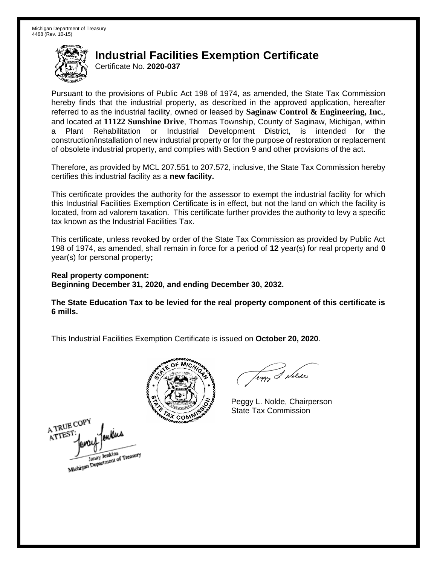Certificate No. **2020-037** 

 Pursuant to the provisions of Public Act 198 of 1974, as amended, the State Tax Commission hereby finds that the industrial property, as described in the approved application, hereafter referred to as the industrial facility, owned or leased by **Saginaw Control & Engineering, Inc.**, and located at **11122 Sunshine Drive**, Thomas Township, County of Saginaw, Michigan, within a Plant Rehabilitation or Industrial Development District, is intended for the construction/installation of new industrial property or for the purpose of restoration or replacement of obsolete industrial property, and complies with Section 9 and other provisions of the act.

 Therefore, as provided by MCL 207.551 to 207.572, inclusive, the State Tax Commission hereby certifies this industrial facility as a **new facility.** 

 This certificate provides the authority for the assessor to exempt the industrial facility for which this Industrial Facilities Exemption Certificate is in effect, but not the land on which the facility is located, from ad valorem taxation. This certificate further provides the authority to levy a specific tax known as the Industrial Facilities Tax.

 This certificate, unless revoked by order of the State Tax Commission as provided by Public Act 198 of 1974, as amended, shall remain in force for a period of **12** year(s) for real property and **0**  year(s) for personal property**;** 

 **Real property component: Beginning December 31, 2020, and ending December 30, 2032.** 

 **The State Education Tax to be levied for the real property component of this certificate is 6 mills.** 



A TRUE COPY ATTEST Janay Jenkins<br>Michigan Department of Treasury

Teggy & Nolde

 Peggy L. Nolde, Chairperson State Tax Commission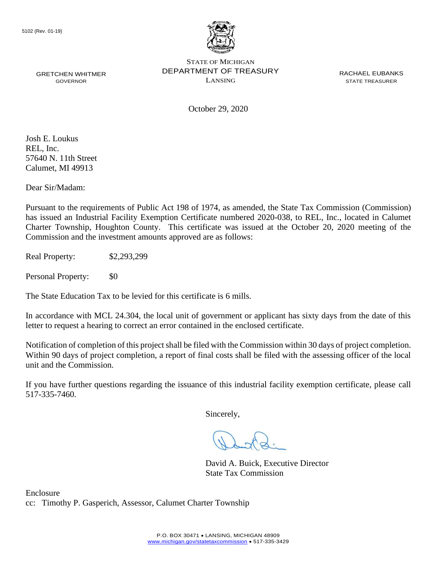

October 29, 2020

Josh E. Loukus REL, Inc. 57640 N. 11th Street Calumet, MI 49913

Dear Sir/Madam:

Pursuant to the requirements of Public Act 198 of 1974, as amended, the State Tax Commission (Commission) has issued an Industrial Facility Exemption Certificate numbered 2020-038, to REL, Inc., located in Calumet Charter Township, Houghton County. This certificate was issued at the October 20, 2020 meeting of the Commission and the investment amounts approved are as follows:

Real Property: \$2,293,299

Personal Property: \$0

The State Education Tax to be levied for this certificate is 6 mills.

In accordance with MCL 24.304, the local unit of government or applicant has sixty days from the date of this letter to request a hearing to correct an error contained in the enclosed certificate.

 Notification of completion of this project shall be filed with the Commission within 30 days of project completion. Within 90 days of project completion, a report of final costs shall be filed with the assessing officer of the local unit and the Commission.

 If you have further questions regarding the issuance of this industrial facility exemption certificate, please call 517-335-7460.

Sincerely,

David A. Buick, Executive Director State Tax Commission

Enclosure cc: Timothy P. Gasperich, Assessor, Calumet Charter Township